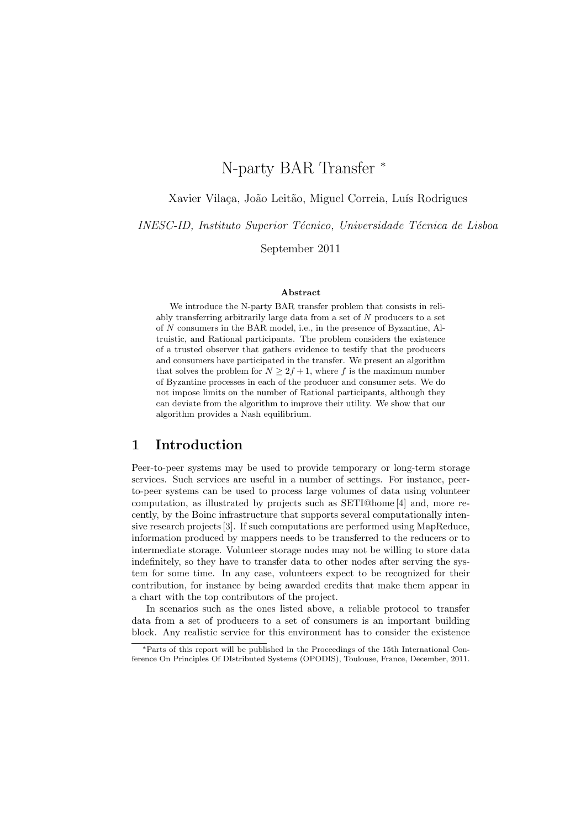# N-party BAR Transfer <sup>∗</sup>

Xavier Vilaça, João Leitão, Miguel Correia, Luís Rodrigues

INESC-ID, Instituto Superior Técnico, Universidade Técnica de Lisboa

September 2011

#### Abstract

We introduce the N-party BAR transfer problem that consists in reliably transferring arbitrarily large data from a set of  $N$  producers to a set of N consumers in the BAR model, i.e., in the presence of Byzantine, Altruistic, and Rational participants. The problem considers the existence of a trusted observer that gathers evidence to testify that the producers and consumers have participated in the transfer. We present an algorithm that solves the problem for  $N \geq 2f + 1$ , where f is the maximum number of Byzantine processes in each of the producer and consumer sets. We do not impose limits on the number of Rational participants, although they can deviate from the algorithm to improve their utility. We show that our algorithm provides a Nash equilibrium.

## 1 Introduction

Peer-to-peer systems may be used to provide temporary or long-term storage services. Such services are useful in a number of settings. For instance, peerto-peer systems can be used to process large volumes of data using volunteer computation, as illustrated by projects such as SETI@home [4] and, more recently, by the Boinc infrastructure that supports several computationally intensive research projects [3]. If such computations are performed using MapReduce, information produced by mappers needs to be transferred to the reducers or to intermediate storage. Volunteer storage nodes may not be willing to store data indefinitely, so they have to transfer data to other nodes after serving the system for some time. In any case, volunteers expect to be recognized for their contribution, for instance by being awarded credits that make them appear in a chart with the top contributors of the project.

In scenarios such as the ones listed above, a reliable protocol to transfer data from a set of producers to a set of consumers is an important building block. Any realistic service for this environment has to consider the existence

<sup>∗</sup>Parts of this report will be published in the Proceedings of the 15th International Conference On Principles Of DIstributed Systems (OPODIS), Toulouse, France, December, 2011.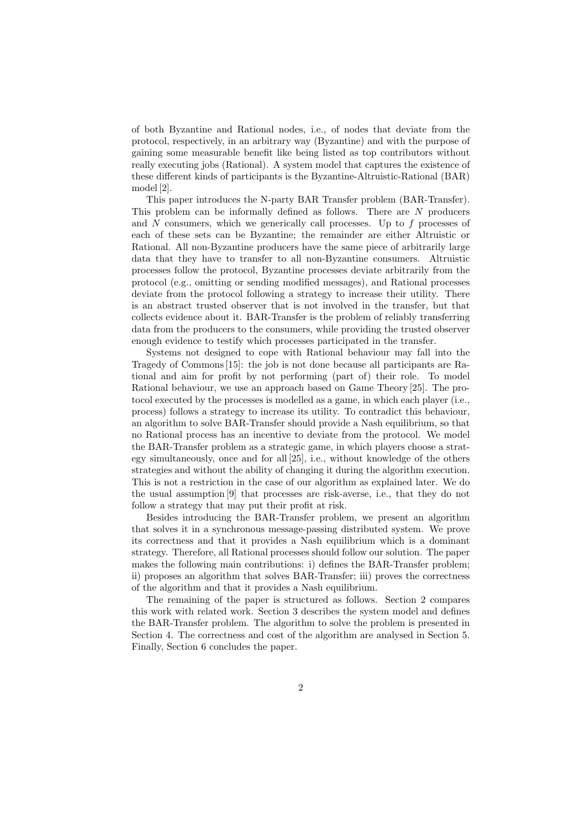of both Byzantine and Rational nodes, i.e., of nodes that deviate from the protocol, respectively, in an arbitrary way (Byzantine) and with the purpose of gaining some measurable benefit like being listed as top contributors without really executing jobs (Rational). A system model that captures the existence of these different kinds of participants is the Byzantine-Altruistic-Rational (BAR) model [2].

This paper introduces the N-party BAR Transfer problem (BAR-Transfer). This problem can be informally defined as follows. There are N producers and N consumers, which we generically call processes. Up to f processes of each of these sets can be Byzantine; the remainder are either Altruistic or Rational. All non-Byzantine producers have the same piece of arbitrarily large data that they have to transfer to all non-Byzantine consumers. Altruistic processes follow the protocol, Byzantine processes deviate arbitrarily from the protocol (e.g., omitting or sending modified messages), and Rational processes deviate from the protocol following a strategy to increase their utility. There is an abstract trusted observer that is not involved in the transfer, but that collects evidence about it. BAR-Transfer is the problem of reliably transferring data from the producers to the consumers, while providing the trusted observer enough evidence to testify which processes participated in the transfer.

Systems not designed to cope with Rational behaviour may fall into the Tragedy of Commons [15]: the job is not done because all participants are Rational and aim for profit by not performing (part of) their role. To model Rational behaviour, we use an approach based on Game Theory [25]. The protocol executed by the processes is modelled as a game, in which each player (i.e., process) follows a strategy to increase its utility. To contradict this behaviour, an algorithm to solve BAR-Transfer should provide a Nash equilibrium, so that no Rational process has an incentive to deviate from the protocol. We model the BAR-Transfer problem as a strategic game, in which players choose a strategy simultaneously, once and for all [25], i.e., without knowledge of the others strategies and without the ability of changing it during the algorithm execution. This is not a restriction in the case of our algorithm as explained later. We do the usual assumption [9] that processes are risk-averse, i.e., that they do not follow a strategy that may put their profit at risk.

Besides introducing the BAR-Transfer problem, we present an algorithm that solves it in a synchronous message-passing distributed system. We prove its correctness and that it provides a Nash equilibrium which is a dominant strategy. Therefore, all Rational processes should follow our solution. The paper makes the following main contributions: i) defines the BAR-Transfer problem; ii) proposes an algorithm that solves BAR-Transfer; iii) proves the correctness of the algorithm and that it provides a Nash equilibrium.

The remaining of the paper is structured as follows. Section 2 compares this work with related work. Section 3 describes the system model and defines the BAR-Transfer problem. The algorithm to solve the problem is presented in Section 4. The correctness and cost of the algorithm are analysed in Section 5. Finally, Section 6 concludes the paper.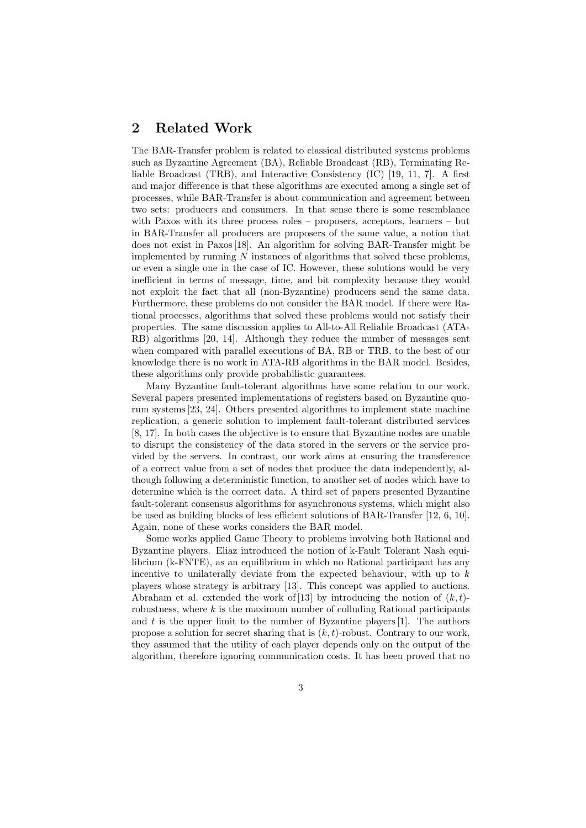# 2 Related Work

The BAR-Transfer problem is related to classical distributed systems problems such as Byzantine Agreement (BA), Reliable Broadcast (RB), Terminating Reliable Broadcast (TRB), and Interactive Consistency (IC) [19, 11, 7]. A first and major difference is that these algorithms are executed among a single set of processes, while BAR-Transfer is about communication and agreement between two sets: producers and consumers. In that sense there is some resemblance with Paxos with its three process roles – proposers, acceptors, learners – but in BAR-Transfer all producers are proposers of the same value, a notion that does not exist in Paxos [18]. An algorithm for solving BAR-Transfer might be implemented by running  $N$  instances of algorithms that solved these problems. or even a single one in the case of IC. However, these solutions would be very inefficient in terms of message, time, and bit complexity because they would not exploit the fact that all (non-Byzantine) producers send the same data. Furthermore, these problems do not consider the BAR model. If there were Rational processes, algorithms that solved these problems would not satisfy their properties. The same discussion applies to All-to-All Reliable Broadcast (ATA-RB) algorithms [20, 14]. Although they reduce the number of messages sent when compared with parallel executions of BA, RB or TRB, to the best of our knowledge there is no work in ATA-RB algorithms in the BAR model. Besides, these algorithms only provide probabilistic guarantees.

Many Byzantine fault-tolerant algorithms have some relation to our work. Several papers presented implementations of registers based on Byzantine quorum systems [23, 24]. Others presented algorithms to implement state machine replication, a generic solution to implement fault-tolerant distributed services [8, 17]. In both cases the objective is to ensure that Byzantine nodes are unable to disrupt the consistency of the data stored in the servers or the service provided by the servers. In contrast, our work aims at ensuring the transference of a correct value from a set of nodes that produce the data independently, although following a deterministic function, to another set of nodes which have to determine which is the correct data. A third set of papers presented Byzantine fault-tolerant consensus algorithms for asynchronous systems, which might also be used as building blocks of less efficient solutions of BAR-Transfer [12, 6, 10]. Again, none of these works considers the BAR model.

Some works applied Game Theory to problems involving both Rational and Byzantine players. Eliaz introduced the notion of k-Fault Tolerant Nash equilibrium (k-FNTE), as an equilibrium in which no Rational participant has any incentive to unilaterally deviate from the expected behaviour, with up to  $k$ players whose strategy is arbitrary [13]. This concept was applied to auctions. Abraham et al. extended the work of [13] by introducing the notion of  $(k, t)$ robustness, where  $k$  is the maximum number of colluding Rational participants and  $t$  is the upper limit to the number of Byzantine players [1]. The authors propose a solution for secret sharing that is  $(k, t)$ -robust. Contrary to our work, they assumed that the utility of each player depends only on the output of the algorithm, therefore ignoring communication costs. It has been proved that no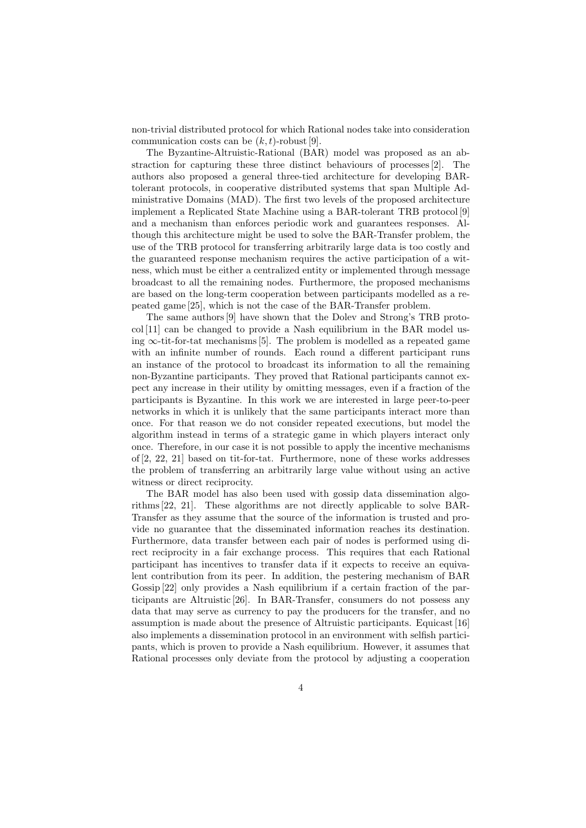non-trivial distributed protocol for which Rational nodes take into consideration communication costs can be  $(k, t)$ -robust [9].

The Byzantine-Altruistic-Rational (BAR) model was proposed as an abstraction for capturing these three distinct behaviours of processes [2]. The authors also proposed a general three-tied architecture for developing BARtolerant protocols, in cooperative distributed systems that span Multiple Administrative Domains (MAD). The first two levels of the proposed architecture implement a Replicated State Machine using a BAR-tolerant TRB protocol [9] and a mechanism than enforces periodic work and guarantees responses. Although this architecture might be used to solve the BAR-Transfer problem, the use of the TRB protocol for transferring arbitrarily large data is too costly and the guaranteed response mechanism requires the active participation of a witness, which must be either a centralized entity or implemented through message broadcast to all the remaining nodes. Furthermore, the proposed mechanisms are based on the long-term cooperation between participants modelled as a repeated game [25], which is not the case of the BAR-Transfer problem.

The same authors [9] have shown that the Dolev and Strong's TRB protocol [11] can be changed to provide a Nash equilibrium in the BAR model using  $\infty$ -tit-for-tat mechanisms [5]. The problem is modelled as a repeated game with an infinite number of rounds. Each round a different participant runs an instance of the protocol to broadcast its information to all the remaining non-Byzantine participants. They proved that Rational participants cannot expect any increase in their utility by omitting messages, even if a fraction of the participants is Byzantine. In this work we are interested in large peer-to-peer networks in which it is unlikely that the same participants interact more than once. For that reason we do not consider repeated executions, but model the algorithm instead in terms of a strategic game in which players interact only once. Therefore, in our case it is not possible to apply the incentive mechanisms of [2, 22, 21] based on tit-for-tat. Furthermore, none of these works addresses the problem of transferring an arbitrarily large value without using an active witness or direct reciprocity.

The BAR model has also been used with gossip data dissemination algorithms [22, 21]. These algorithms are not directly applicable to solve BAR-Transfer as they assume that the source of the information is trusted and provide no guarantee that the disseminated information reaches its destination. Furthermore, data transfer between each pair of nodes is performed using direct reciprocity in a fair exchange process. This requires that each Rational participant has incentives to transfer data if it expects to receive an equivalent contribution from its peer. In addition, the pestering mechanism of BAR Gossip [22] only provides a Nash equilibrium if a certain fraction of the participants are Altruistic [26]. In BAR-Transfer, consumers do not possess any data that may serve as currency to pay the producers for the transfer, and no assumption is made about the presence of Altruistic participants. Equicast [16] also implements a dissemination protocol in an environment with selfish participants, which is proven to provide a Nash equilibrium. However, it assumes that Rational processes only deviate from the protocol by adjusting a cooperation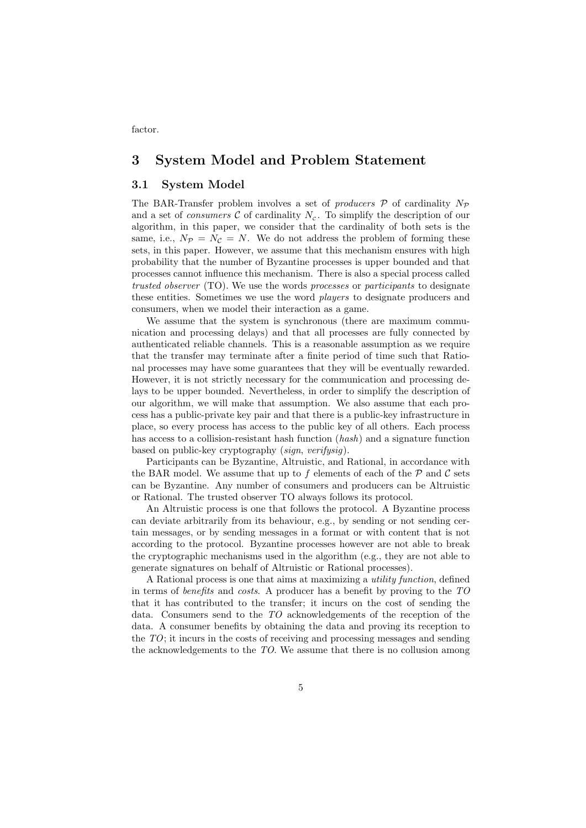factor.

## 3 System Model and Problem Statement

### 3.1 System Model

The BAR-Transfer problem involves a set of *producers*  $\mathcal P$  of cardinality  $N_{\mathcal P}$ and a set of *consumers*  $\mathcal C$  of cardinality  $N_c$ . To simplify the description of our algorithm, in this paper, we consider that the cardinality of both sets is the same, i.e.,  $N_{\mathcal{P}} = N_{\mathcal{C}} = N$ . We do not address the problem of forming these sets, in this paper. However, we assume that this mechanism ensures with high probability that the number of Byzantine processes is upper bounded and that processes cannot influence this mechanism. There is also a special process called trusted observer (TO). We use the words processes or participants to designate these entities. Sometimes we use the word players to designate producers and consumers, when we model their interaction as a game.

We assume that the system is synchronous (there are maximum communication and processing delays) and that all processes are fully connected by authenticated reliable channels. This is a reasonable assumption as we require that the transfer may terminate after a finite period of time such that Rational processes may have some guarantees that they will be eventually rewarded. However, it is not strictly necessary for the communication and processing delays to be upper bounded. Nevertheless, in order to simplify the description of our algorithm, we will make that assumption. We also assume that each process has a public-private key pair and that there is a public-key infrastructure in place, so every process has access to the public key of all others. Each process has access to a collision-resistant hash function (hash) and a signature function based on public-key cryptography (sign, verifysig).

Participants can be Byzantine, Altruistic, and Rational, in accordance with the BAR model. We assume that up to f elements of each of the  $P$  and  $C$  sets can be Byzantine. Any number of consumers and producers can be Altruistic or Rational. The trusted observer TO always follows its protocol.

An Altruistic process is one that follows the protocol. A Byzantine process can deviate arbitrarily from its behaviour, e.g., by sending or not sending certain messages, or by sending messages in a format or with content that is not according to the protocol. Byzantine processes however are not able to break the cryptographic mechanisms used in the algorithm (e.g., they are not able to generate signatures on behalf of Altruistic or Rational processes).

A Rational process is one that aims at maximizing a utility function, defined in terms of benefits and costs. A producer has a benefit by proving to the TO that it has contributed to the transfer; it incurs on the cost of sending the data. Consumers send to the TO acknowledgements of the reception of the data. A consumer benefits by obtaining the data and proving its reception to the TO; it incurs in the costs of receiving and processing messages and sending the acknowledgements to the TO. We assume that there is no collusion among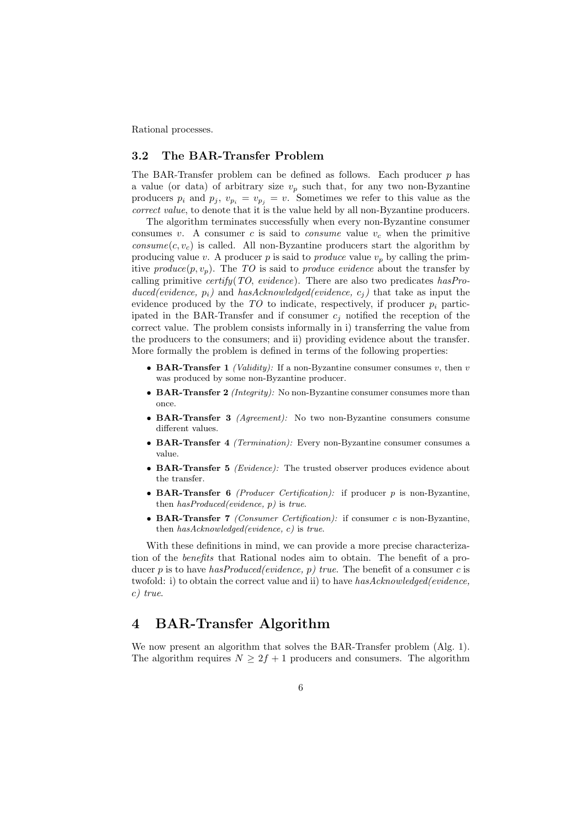Rational processes.

### 3.2 The BAR-Transfer Problem

The BAR-Transfer problem can be defined as follows. Each producer p has a value (or data) of arbitrary size  $v_p$  such that, for any two non-Byzantine producers  $p_i$  and  $p_j$ ,  $v_{p_i} = v_{p_j} = v$ . Sometimes we refer to this value as the correct value, to denote that it is the value held by all non-Byzantine producers.

The algorithm terminates successfully when every non-Byzantine consumer consumes v. A consumer c is said to *consume* value  $v_c$  when the primitive  $cosume(c, v_c)$  is called. All non-Byzantine producers start the algorithm by producing value v. A producer p is said to *produce* value  $v_p$  by calling the primitive produce $(p, v_p)$ . The TO is said to produce evidence about the transfer by calling primitive *certify*( $TO$ , *evidence*). There are also two predicates hasProduced(evidence,  $p_i$ ) and hasAcknowledged(evidence,  $c_i$ ) that take as input the evidence produced by the  $TO$  to indicate, respectively, if producer  $p_i$  participated in the BAR-Transfer and if consumer  $c_j$  notified the reception of the correct value. The problem consists informally in i) transferring the value from the producers to the consumers; and ii) providing evidence about the transfer. More formally the problem is defined in terms of the following properties:

- BAR-Transfer 1 *(Validity)*: If a non-Byzantine consumer consumes v, then v was produced by some non-Byzantine producer.
- BAR-Transfer 2 *(Integrity)*: No non-Byzantine consumer consumes more than once.
- BAR-Transfer 3 (Agreement): No two non-Byzantine consumers consume different values.
- BAR-Transfer 4 *(Termination)*: Every non-Byzantine consumer consumes a value.
- BAR-Transfer 5 (Evidence): The trusted observer produces evidence about the transfer.
- BAR-Transfer 6 (Producer Certification): if producer  $p$  is non-Byzantine, then  $hasProduced(evidence, p)$  is true.
- BAR-Transfer 7 (Consumer Certification): if consumer c is non-Byzantine, then  $hasAcknowledged(evidence, c)$  is true.

With these definitions in mind, we can provide a more precise characterization of the benefits that Rational nodes aim to obtain. The benefit of a producer p is to have hasProduced(evidence, p) true. The benefit of a consumer c is twofold: i) to obtain the correct value and ii) to have  $hasAcknowledged(evidence,$ c) true.

# 4 BAR-Transfer Algorithm

We now present an algorithm that solves the BAR-Transfer problem (Alg. 1). The algorithm requires  $N \geq 2f + 1$  producers and consumers. The algorithm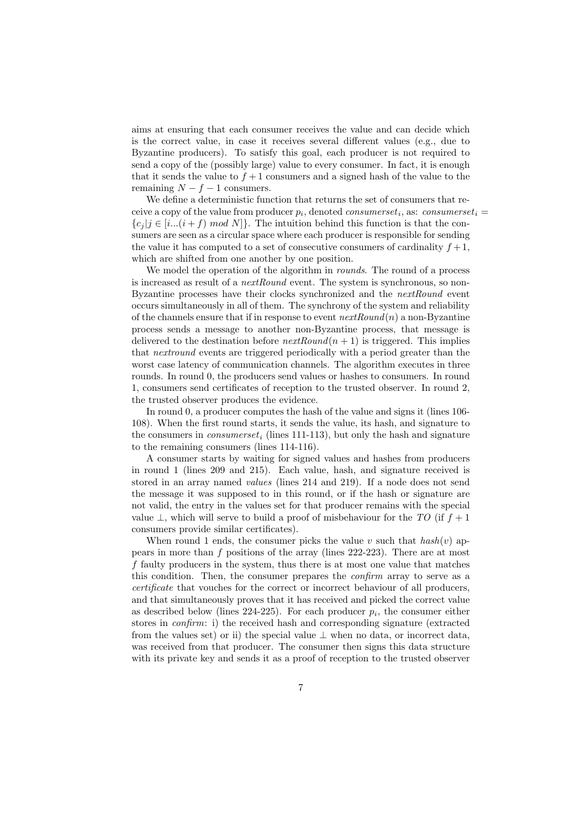aims at ensuring that each consumer receives the value and can decide which is the correct value, in case it receives several different values (e.g., due to Byzantine producers). To satisfy this goal, each producer is not required to send a copy of the (possibly large) value to every consumer. In fact, it is enough that it sends the value to  $f + 1$  consumers and a signed hash of the value to the remaining  $N - f - 1$  consumers.

We define a deterministic function that returns the set of consumers that receive a copy of the value from producer  $p_i$ , denoted *consumerset<sub>i</sub>*, as: *consumerset<sub>i</sub>* =  ${c_i | j \in [i...(i+f) \mod N]}$ . The intuition behind this function is that the consumers are seen as a circular space where each producer is responsible for sending the value it has computed to a set of consecutive consumers of cardinality  $f + 1$ , which are shifted from one another by one position.

We model the operation of the algorithm in *rounds*. The round of a process is increased as result of a *nextRound* event. The system is synchronous, so non-Byzantine processes have their clocks synchronized and the nextRound event occurs simultaneously in all of them. The synchrony of the system and reliability of the channels ensure that if in response to event  $nextRound(n)$  a non-Byzantine process sends a message to another non-Byzantine process, that message is delivered to the destination before  $nextRound(n + 1)$  is triggered. This implies that nextround events are triggered periodically with a period greater than the worst case latency of communication channels. The algorithm executes in three rounds. In round 0, the producers send values or hashes to consumers. In round 1, consumers send certificates of reception to the trusted observer. In round 2, the trusted observer produces the evidence.

In round 0, a producer computes the hash of the value and signs it (lines 106- 108). When the first round starts, it sends the value, its hash, and signature to the consumers in  $consumeret_i$  (lines 111-113), but only the hash and signature to the remaining consumers (lines 114-116).

A consumer starts by waiting for signed values and hashes from producers in round 1 (lines 209 and 215). Each value, hash, and signature received is stored in an array named values (lines 214 and 219). If a node does not send the message it was supposed to in this round, or if the hash or signature are not valid, the entry in the values set for that producer remains with the special value ⊥, which will serve to build a proof of misbehaviour for the TO (if  $f + 1$ consumers provide similar certificates).

When round 1 ends, the consumer picks the value v such that  $hash(v)$  appears in more than f positions of the array (lines 222-223). There are at most f faulty producers in the system, thus there is at most one value that matches this condition. Then, the consumer prepares the confirm array to serve as a certificate that vouches for the correct or incorrect behaviour of all producers, and that simultaneously proves that it has received and picked the correct value as described below (lines 224-225). For each producer  $p_i$ , the consumer either stores in confirm: i) the received hash and corresponding signature (extracted from the values set) or ii) the special value  $\perp$  when no data, or incorrect data, was received from that producer. The consumer then signs this data structure with its private key and sends it as a proof of reception to the trusted observer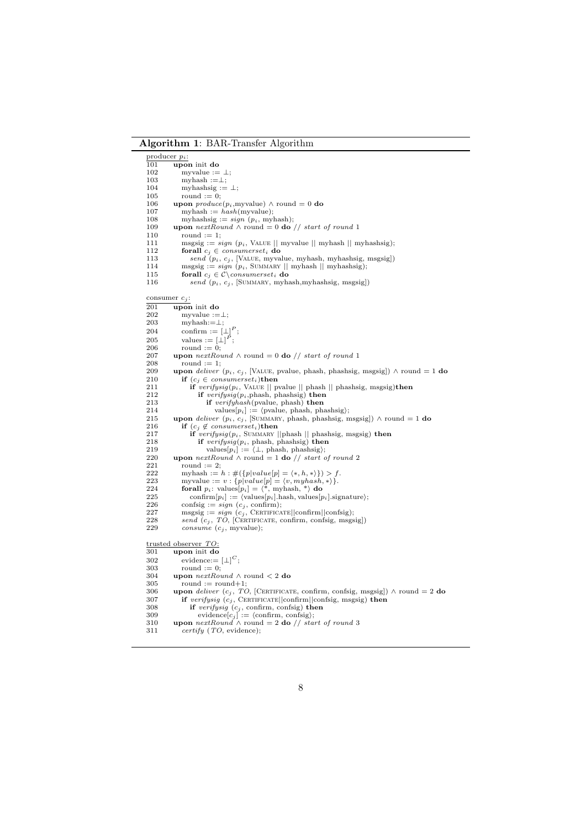Algorithm 1: BAR-Transfer Algorithm

 $\frac{\text{producer } p_i:}{101}$ upon init do 102 myvalue :=  $\perp$ ;<br>103 myhash := |: 103 myhash := $\perp$ ;<br>104 myhashsig := 104 myhashsig :=  $\perp$ ;<br>105 round := 0; 105 round  $:= 0$ ;<br>106 **upon** produce 106 **upon**  $produce(p_i, myvalue) \wedge round = 0$  **do**<br>107 myhash := *hash*(myvalue): 107 myhash :=  $\hat{hash}$ (myvalue);<br>108 myhashsig :=  $\hat{sign}(p_i)$ . my 108 myhashsig := sign (p<sub>i</sub>, myhash);<br>
109 **upon** nextRound  $\land$  round = 0 **do** // start of round 1 110  $\text{round} := 1;$ <br>111  $\text{msgsig} := s_3$ 111 msgsig :=  $sign (p_i, \text{VALUE} || \text{myvalue} || \text{myhash} || \text{myhashsig});$ <br>112 **forall**  $c_i \in consumerset_i$  **do** 112 **forall**  $c_j \in \text{consumerset}_i$  **do**<br>113 *send* ( $p_i$ ,  $c_i$ , [VALUE, myva 113 send  $(p_i, c_j, \text{[VALUE, myvalue, myhash, myhashsig, msgsig]})$ <br>114 msesie  $=$  sign  $(n_i, \text{SIMMAP} \parallel \text{mvhash} \parallel \text{mvhashsig})$ 114 msgsig := sign  $(p_i, \text{SUMMARY} || \text{myhash} || \text{myhashsig});$ <br>115 forall  $c_i \in C \setminus \text{consumerset}_i$  do 115 **forall**  $c_j \in \mathcal{C} \setminus \mathit{consumerset}_i$  **do**<br>116 *send* ( $p_i$ ,  $c_i$ , SUMMARY, myha  $send'(p_i, c_j, [\text{SUMMARY}, \text{myhash}, \text{myhashsig}, \text{msgsig}])$ consumer  $c_j$ :<br>201 **upon**  $\overline{201}$  upon init do<br>202 myvalue := 202 myvalue := $\perp$ ;<br>203 myhash:= $\perp$ : 203 myhash:= $\perp$ ;<br>204 confirm := [ 204 confirm  $:=[\perp]^P;$ 205 values :=  $[\perp]^P$ ; 206 round  $:= 0;$ <br>207 **upon**  $nextRoi$ 207 upon  $nextRound \wedge round = 0$  do // start of round 1<br>208 round := 1. 208 round  $:= 1$ ;<br>209 **upon** deliver 209 upon deliver  $(p_i, c_j, [\text{VALU E}, \text{pvalue}, \text{phash}, \text{phashing}, \text{msgsig}]) \wedge \text{round} = 1 \text{ do}$ <br>210 if  $(c_i \in \text{consumerset}_i)$ then 210 **if**  $(c_j \in \text{consumerset}_i)$ **then**<br>211 **if** verifysiq(p<sub>i</sub>, VALUE || p 211 if  $\text{verify} \text{sig}(p_i, \text{VALUE} \mid \mid \text{pvalue} \mid \mid \text{phash} \mid \mid \text{phashing}, \text{msgsig})$ then<br>212 if  $\text{verify} \text{sig}(p_i, \text{phash}, \text{phashing})$  then 212 if  $\text{verifysig}(p_i,\text{phash},\text{phashsig})$  then<br>213 if  $\text{verifyhash}(\text{pvalue},\text{phash})$  then 213 **if** verifyhash(pvalue, phash) **then**<br>214 values $[p_i] :=$  (pvalue, phash, ph 214 values[ $p_i$ ] := (pvalue, phash, phashsig);<br>215 **upon** deliver ( $p_i$ ,  $c_i$ , [SUMMARY, phash, phashsig. n 215 upon deliver  $(p_i, c_j, [\text{SUMARY}, \text{phash}, \text{phashing}, \text{msgsig}]) \wedge \text{round} = 1 \text{ do}$ <br>216 if  $(c_i \notin \text{consumerset.})$ then 216 **if**  $(c_j \notin \text{consumerset}_i)$ **then**<br>217 **if** verifusia(p. SUMMARY) 217 **if**  $verifyingig(p_i, \text{SUMMARY} ||\text{phash} ||\text{phashing}, \text{message})$  **then**<br>
218 **if**  $verifyingig(p_i, \text{phash}, \text{phashing})$  **then**<br>
219 values $[p_i] := \langle \perp, \text{phash}, \text{phashing} \rangle;$ 220 upon  $nextRound \wedge round = 1$  do // start of round 2  $221$  round := 2;<br> $222$  myhash := i 222 myhash :=  $h : #({pvalue[p] = \langle *, h, * \rangle}) > f$ .<br>
223 myvalue :=  $v : {p|value[p] = \langle v, myhash, * \rangle}$ .<br> **forall**  $p_i : \text{values}[p_i] = \langle *, \text{myhash, *} \rangle$  **do**<br>
225 confirm  $[p_i] := \langle \text{values}[p_i], \text{hash, values}[p_i], \text{signature}\rangle$ ;<br>
226 confisig :=  $sign (c_i, \text{confirm});$ <br>
227 msgsig :=  $sign (c_j, \text$ 228 send  $(c_j, T\tilde{O}, [\tilde{C}E\text{KTIFCATE}, \text{confirm}, \text{consig}, \text{msgsig}])$ <br>
229 consume  $(c_j, \text{myvalue})$ ;  $\frac{\text{trusted observer } TO:}{301}$  upon init do upon init do 302 evidence:=  $[\perp]^C$ ; 303 round  $:= 0$ ;<br>304 **upon**  $nextRow$ 304 upon  $nextRound \wedge round < 2$  do <br>305 cound = round +1. 305 round := round+1;<br> **upon** deliver (c<sub>j</sub>, TO, [CERTIFICATE, confirm, confsig, msgsig])  $\land$  round = 2 do<br>
308 **if** verifysig (c<sub>j</sub>, CERTIFICATE||confirm||confsig, msgsig) **then**<br>
308 **if** verifysig (cj, confirm, confsi 311 *certify* (*TO*, evidence);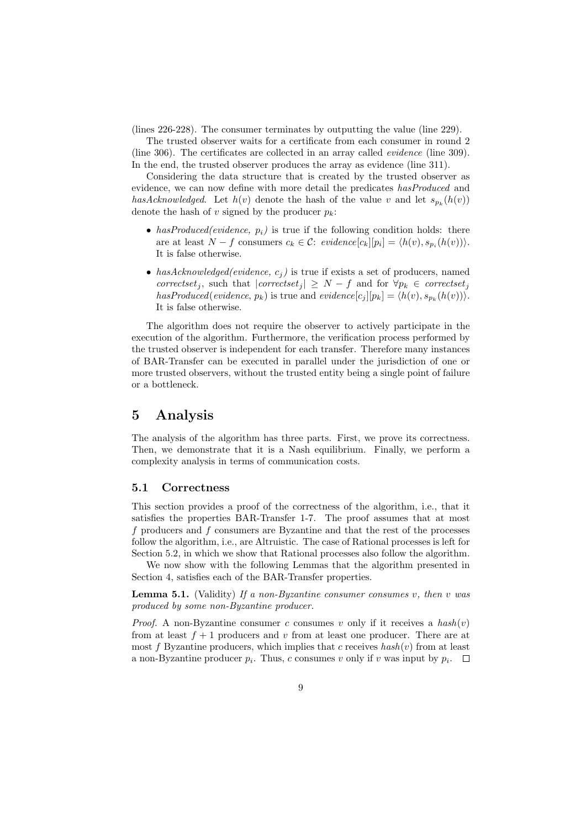(lines 226-228). The consumer terminates by outputting the value (line 229).

The trusted observer waits for a certificate from each consumer in round 2 (line 306). The certificates are collected in an array called evidence (line 309). In the end, the trusted observer produces the array as evidence (line 311).

Considering the data structure that is created by the trusted observer as evidence, we can now define with more detail the predicates hasProduced and hasAcknowledged. Let  $h(v)$  denote the hash of the value v and let  $s_{p_k}(h(v))$ denote the hash of v signed by the producer  $p_k$ :

- hasProduced(evidence,  $p_i$ ) is true if the following condition holds: there are at least  $N - f$  consumers  $c_k \in \mathcal{C}$ : evidence  $[c_k][p_i] = \langle h(v), s_{p_i}(h(v)) \rangle$ . It is false otherwise.
- hasAcknowledged(evidence,  $c_i$ ) is true if exists a set of producers, named correctset<sub>i</sub>, such that  $|correctset_i| \geq N - f$  and for  $\forall p_k \in correctset_i$ hasProduced(evidence,  $p_k$ ) is true and evidence $[c_j][p_k] = \langle h(v), s_{p_k}(h(v)) \rangle$ . It is false otherwise.

The algorithm does not require the observer to actively participate in the execution of the algorithm. Furthermore, the verification process performed by the trusted observer is independent for each transfer. Therefore many instances of BAR-Transfer can be executed in parallel under the jurisdiction of one or more trusted observers, without the trusted entity being a single point of failure or a bottleneck.

# 5 Analysis

The analysis of the algorithm has three parts. First, we prove its correctness. Then, we demonstrate that it is a Nash equilibrium. Finally, we perform a complexity analysis in terms of communication costs.

### 5.1 Correctness

This section provides a proof of the correctness of the algorithm, i.e., that it satisfies the properties BAR-Transfer 1-7. The proof assumes that at most f producers and f consumers are Byzantine and that the rest of the processes follow the algorithm, i.e., are Altruistic. The case of Rational processes is left for Section 5.2, in which we show that Rational processes also follow the algorithm.

We now show with the following Lemmas that the algorithm presented in Section 4, satisfies each of the BAR-Transfer properties.

**Lemma 5.1.** (Validity) If a non-Byzantine consumer consumes  $v$ , then  $v$  was produced by some non-Byzantine producer.

*Proof.* A non-Byzantine consumer c consumes v only if it receives a  $hash(v)$ from at least  $f + 1$  producers and v from at least one producer. There are at most f Byzantine producers, which implies that c receives  $hash(v)$  from at least a non-Byzantine producer  $p_i$ . Thus, c consumes v only if v was input by  $p_i$ .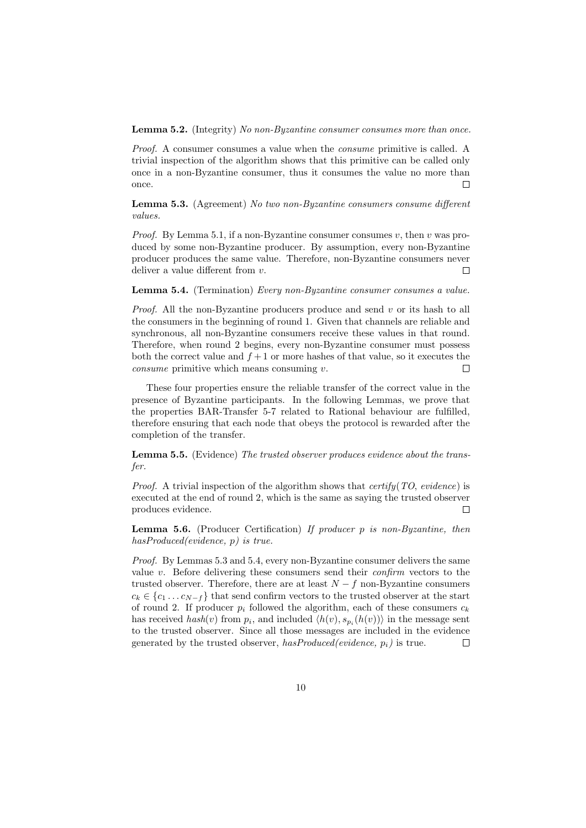Lemma 5.2. (Integrity) No non-Byzantine consumer consumes more than once.

Proof. A consumer consumes a value when the consume primitive is called. A trivial inspection of the algorithm shows that this primitive can be called only once in a non-Byzantine consumer, thus it consumes the value no more than once. П

Lemma 5.3. (Agreement) No two non-Byzantine consumers consume different values.

*Proof.* By Lemma 5.1, if a non-Byzantine consumer consumes v, then v was produced by some non-Byzantine producer. By assumption, every non-Byzantine producer produces the same value. Therefore, non-Byzantine consumers never deliver a value different from v.  $\Box$ 

Lemma 5.4. (Termination) Every non-Byzantine consumer consumes a value.

*Proof.* All the non-Byzantine producers produce and send v or its hash to all the consumers in the beginning of round 1. Given that channels are reliable and synchronous, all non-Byzantine consumers receive these values in that round. Therefore, when round 2 begins, every non-Byzantine consumer must possess both the correct value and  $f + 1$  or more hashes of that value, so it executes the consume primitive which means consuming v.  $\Box$ 

These four properties ensure the reliable transfer of the correct value in the presence of Byzantine participants. In the following Lemmas, we prove that the properties BAR-Transfer 5-7 related to Rational behaviour are fulfilled, therefore ensuring that each node that obeys the protocol is rewarded after the completion of the transfer.

Lemma 5.5. (Evidence) The trusted observer produces evidence about the transfer.

*Proof.* A trivial inspection of the algorithm shows that  $c$ *ertifu*(TO, *evidence*) is executed at the end of round 2, which is the same as saying the trusted observer produces evidence.  $\Box$ 

**Lemma 5.6.** (Producer Certification) If producer p is non-Byzantine, then hasProduced(evidence, p) is true.

Proof. By Lemmas 5.3 and 5.4, every non-Byzantine consumer delivers the same value  $v$ . Before delivering these consumers send their *confirm* vectors to the trusted observer. Therefore, there are at least  $N - f$  non-Byzantine consumers  $c_k \in \{c_1 \ldots c_{N-f}\}\$  that send confirm vectors to the trusted observer at the start of round 2. If producer  $p_i$  followed the algorithm, each of these consumers  $c_k$ has received  $hash(v)$  from  $p_i$ , and included  $\langle h(v), s_{p_i}(h(v)) \rangle$  in the message sent to the trusted observer. Since all those messages are included in the evidence generated by the trusted observer,  $hasProduced(evidence, p_i)$  is true.  $\Box$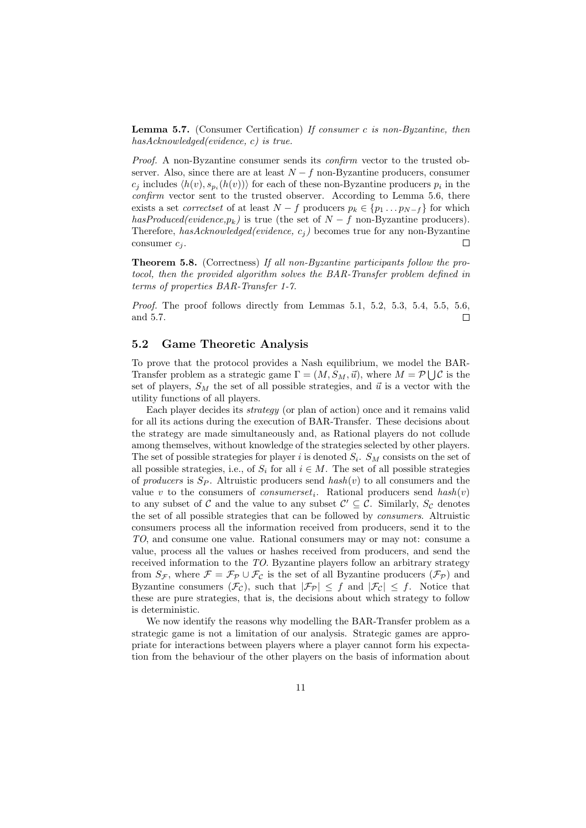**Lemma 5.7.** (Consumer Certification) If consumer c is non-Byzantine, then hasAcknowledged(evidence, c) is true.

Proof. A non-Byzantine consumer sends its confirm vector to the trusted observer. Also, since there are at least  $N - f$  non-Byzantine producers, consumer  $c_j$  includes  $\langle h(v), s_{p_i}(h(v)) \rangle$  for each of these non-Byzantine producers  $p_i$  in the confirm vector sent to the trusted observer. According to Lemma 5.6, there exists a set *correctset* of at least  $N - f$  producers  $p_k \in \{p_1 \dots p_{N-f}\}\$  for which hasProduced(evidence,  $p_k$ ) is true (the set of  $N - f$  non-Byzantine producers). Therefore, hasAcknowledged(evidence,  $c_i$ ) becomes true for any non-Byzantine consumer  $c_j$ .  $\Box$ 

Theorem 5.8. (Correctness) If all non-Byzantine participants follow the protocol, then the provided algorithm solves the BAR-Transfer problem defined in terms of properties BAR-Transfer 1-7.

Proof. The proof follows directly from Lemmas 5.1, 5.2, 5.3, 5.4, 5.5, 5.6, and 5.7.  $\Box$ 

### 5.2 Game Theoretic Analysis

To prove that the protocol provides a Nash equilibrium, we model the BAR-Transfer problem as a strategic game  $\Gamma = (M, S_M, \vec{u})$ , where  $M = \mathcal{P} \cup \mathcal{C}$  is the set of players,  $S_M$  the set of all possible strategies, and  $\vec{u}$  is a vector with the utility functions of all players.

Each player decides its strategy (or plan of action) once and it remains valid for all its actions during the execution of BAR-Transfer. These decisions about the strategy are made simultaneously and, as Rational players do not collude among themselves, without knowledge of the strategies selected by other players. The set of possible strategies for player i is denoted  $S_i$ .  $S_M$  consists on the set of all possible strategies, i.e., of  $S_i$  for all  $i \in M$ . The set of all possible strategies of producers is  $S_P$ . Altruistic producers send  $hash(v)$  to all consumers and the value v to the consumers of *consumerset<sub>i</sub>*. Rational producers send  $hash(v)$ to any subset of C and the value to any subset  $\mathcal{C}' \subseteq \mathcal{C}$ . Similarly,  $S_{\mathcal{C}}$  denotes the set of all possible strategies that can be followed by consumers. Altruistic consumers process all the information received from producers, send it to the TO, and consume one value. Rational consumers may or may not: consume a value, process all the values or hashes received from producers, and send the received information to the TO. Byzantine players follow an arbitrary strategy from  $S_{\mathcal{F}}$ , where  $\mathcal{F} = \mathcal{F}_{\mathcal{P}} \cup \mathcal{F}_{\mathcal{C}}$  is the set of all Byzantine producers  $(\mathcal{F}_{\mathcal{P}})$  and Byzantine consumers  $(\mathcal{F}_c)$ , such that  $|\mathcal{F}_p| \leq f$  and  $|\mathcal{F}_c| \leq f$ . Notice that these are pure strategies, that is, the decisions about which strategy to follow is deterministic.

We now identify the reasons why modelling the BAR-Transfer problem as a strategic game is not a limitation of our analysis. Strategic games are appropriate for interactions between players where a player cannot form his expectation from the behaviour of the other players on the basis of information about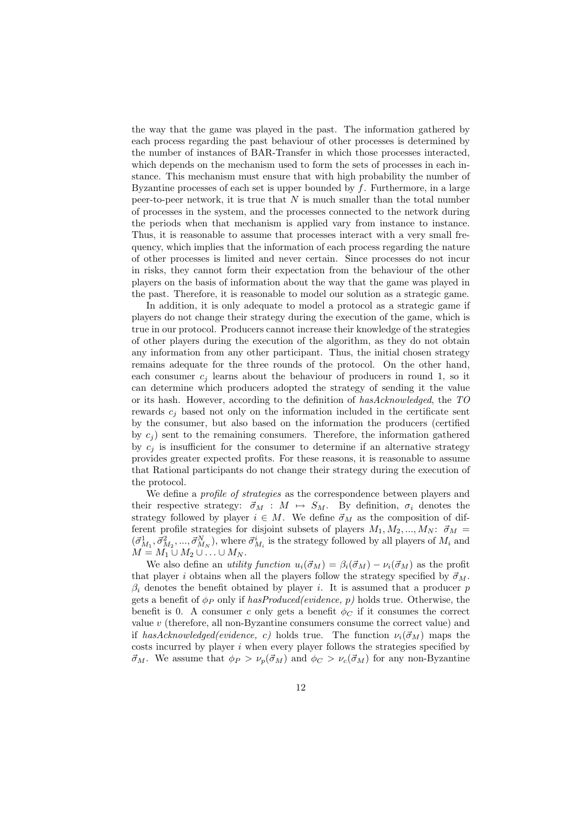the way that the game was played in the past. The information gathered by each process regarding the past behaviour of other processes is determined by the number of instances of BAR-Transfer in which those processes interacted, which depends on the mechanism used to form the sets of processes in each instance. This mechanism must ensure that with high probability the number of Byzantine processes of each set is upper bounded by  $f$ . Furthermore, in a large peer-to-peer network, it is true that  $N$  is much smaller than the total number of processes in the system, and the processes connected to the network during the periods when that mechanism is applied vary from instance to instance. Thus, it is reasonable to assume that processes interact with a very small frequency, which implies that the information of each process regarding the nature of other processes is limited and never certain. Since processes do not incur in risks, they cannot form their expectation from the behaviour of the other players on the basis of information about the way that the game was played in the past. Therefore, it is reasonable to model our solution as a strategic game.

In addition, it is only adequate to model a protocol as a strategic game if players do not change their strategy during the execution of the game, which is true in our protocol. Producers cannot increase their knowledge of the strategies of other players during the execution of the algorithm, as they do not obtain any information from any other participant. Thus, the initial chosen strategy remains adequate for the three rounds of the protocol. On the other hand, each consumer  $c_i$  learns about the behaviour of producers in round 1, so it can determine which producers adopted the strategy of sending it the value or its hash. However, according to the definition of hasAcknowledged, the TO rewards  $c_i$  based not only on the information included in the certificate sent by the consumer, but also based on the information the producers (certified by  $c_i$ ) sent to the remaining consumers. Therefore, the information gathered by  $c_i$  is insufficient for the consumer to determine if an alternative strategy provides greater expected profits. For these reasons, it is reasonable to assume that Rational participants do not change their strategy during the execution of the protocol.

We define a *profile of strategies* as the correspondence between players and their respective strategy:  $\vec{\sigma}_M$  :  $M \mapsto S_M$ . By definition,  $\sigma_i$  denotes the strategy followed by player  $i \in M$ . We define  $\vec{\sigma}_M$  as the composition of different profile strategies for disjoint subsets of players  $M_1, M_2, ..., M_N$ :  $\vec{\sigma}_M$  $(\vec{\sigma}_{M_1}^1, \vec{\sigma}_{M_2}^2, ..., \vec{\sigma}_{M_N}^N)$ , where  $\vec{\sigma}_{M_i}^i$  is the strategy followed by all players of  $M_i$  and  $M = M_1 \cup M_2 \cup \ldots \cup M_N$ .

We also define an utility function  $u_i(\vec{\sigma}_M) = \beta_i(\vec{\sigma}_M) - \nu_i(\vec{\sigma}_M)$  as the profit that player i obtains when all the players follow the strategy specified by  $\vec{\sigma}_M$ .  $\beta_i$  denotes the benefit obtained by player i. It is assumed that a producer p gets a benefit of  $\phi_P$  only if hasProduced(evidence, p) holds true. Otherwise, the benefit is 0. A consumer c only gets a benefit  $\phi_C$  if it consumes the correct value v (therefore, all non-Byzantine consumers consume the correct value) and if hasAcknowledged(evidence, c) holds true. The function  $\nu_i(\vec{\sigma}_M)$  maps the costs incurred by player  $i$  when every player follows the strategies specified by  $\vec{\sigma}_M$ . We assume that  $\phi_P > \nu_p(\vec{\sigma}_M)$  and  $\phi_C > \nu_c(\vec{\sigma}_M)$  for any non-Byzantine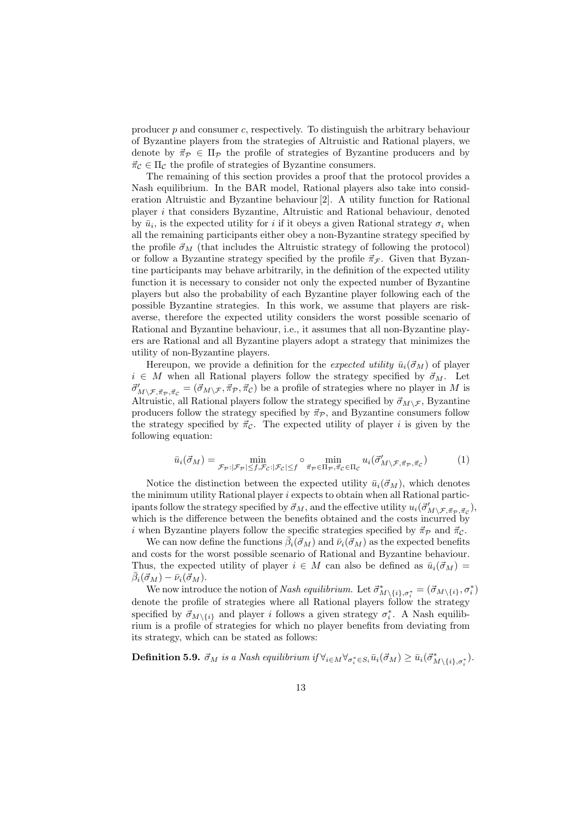producer  $p$  and consumer c, respectively. To distinguish the arbitrary behaviour of Byzantine players from the strategies of Altruistic and Rational players, we denote by  $\vec{\pi}_P \in \Pi_P$  the profile of strategies of Byzantine producers and by  $\vec{\pi}_{\mathcal{C}} \in \Pi_{\mathcal{C}}$  the profile of strategies of Byzantine consumers.

The remaining of this section provides a proof that the protocol provides a Nash equilibrium. In the BAR model, Rational players also take into consideration Altruistic and Byzantine behaviour [2]. A utility function for Rational player i that considers Byzantine, Altruistic and Rational behaviour, denoted by  $\bar{u}_i$ , is the expected utility for i if it obeys a given Rational strategy  $\sigma_i$  when all the remaining participants either obey a non-Byzantine strategy specified by the profile  $\vec{\sigma}_M$  (that includes the Altruistic strategy of following the protocol) or follow a Byzantine strategy specified by the profile  $\vec{\pi}_{\mathcal{F}}$ . Given that Byzantine participants may behave arbitrarily, in the definition of the expected utility function it is necessary to consider not only the expected number of Byzantine players but also the probability of each Byzantine player following each of the possible Byzantine strategies. In this work, we assume that players are riskaverse, therefore the expected utility considers the worst possible scenario of Rational and Byzantine behaviour, i.e., it assumes that all non-Byzantine players are Rational and all Byzantine players adopt a strategy that minimizes the utility of non-Byzantine players.

Hereupon, we provide a definition for the *expected utility*  $\bar{u}_i(\vec{\sigma}_M)$  of player  $i ~\in~ M$  when all Rational players follow the strategy specified by  $\vec{\sigma}_M.$  Let  $\vec{\sigma}'_{M\setminus\mathcal{F},\vec{\pi}_{\mathcal{P}},\vec{\pi}_{\mathcal{C}}} = (\vec{\sigma}_{M\setminus\mathcal{F}},\vec{\pi}_{\mathcal{P}},\vec{\pi}_{\mathcal{C}})$  be a profile of strategies where no player in M is Altruistic, all Rational players follow the strategy specified by  $\vec{\sigma}_{M\setminus\mathcal{F}}$ , Byzantine producers follow the strategy specified by  $\vec{\pi}_P$ , and Byzantine consumers follow the strategy specified by  $\vec{\pi}_{\mathcal{C}}$ . The expected utility of player i is given by the following equation:

$$
\bar{u}_i(\vec{\sigma}_M) = \min_{\mathcal{F}_{\mathcal{P}}:|\mathcal{F}_{\mathcal{P}}| \leq f, \mathcal{F}_c:|\mathcal{F}_c| \leq f} \min_{\vec{\pi}_{\mathcal{P}} \in \Pi_{\mathcal{P}}, \vec{\pi}_c \in \Pi_c} u_i(\vec{\sigma}'_{M \setminus \mathcal{F}, \vec{\pi}_{\mathcal{P}}, \vec{\pi}_c}) \tag{1}
$$

Notice the distinction between the expected utility  $\bar{u}_i(\vec{\sigma}_M)$ , which denotes the minimum utility Rational player i expects to obtain when all Rational participants follow the strategy specified by  $\vec{\sigma}_M$ , and the effective utility  $u_i(\vec{\sigma}'_{M\setminus\mathcal{F},\vec{\pi}_{\mathcal{P}},\vec{\pi}_{\mathcal{C}}})$ , which is the difference between the benefits obtained and the costs incurred by i when Byzantine players follow the specific strategies specified by  $\vec{\pi}_P$  and  $\vec{\pi}_C$ .

We can now define the functions  $\bar{\beta}_i(\vec{\sigma}_M)$  and  $\bar{\nu}_i(\vec{\sigma}_M)$  as the expected benefits and costs for the worst possible scenario of Rational and Byzantine behaviour. Thus, the expected utility of player  $i \in M$  can also be defined as  $\bar{u}_i(\vec{\sigma}_M)$  =  $\bar{\beta}_i(\vec{\sigma}_M) - \bar{\nu}_i(\dot{\vec{\sigma}}_M).$ 

We now introduce the notion of Nash equilibrium. Let  $\vec{\sigma}_{M\setminus\{i\},\sigma_i^*}^* = (\vec{\sigma}_{M\setminus\{i\}},\sigma_i^*)$ denote the profile of strategies where all Rational players follow the strategy specified by  $\vec{\sigma}_{M\setminus\{i\}}$  and player i follows a given strategy  $\sigma_i^*$ . A Nash equilibrium is a profile of strategies for which no player benefits from deviating from its strategy, which can be stated as follows:

 $\textbf{Definition 5.9.}~ \vec{\sigma}_M ~is~a~Nash~ equilibrium~if~ \forall_{i\in M} \forall_{\sigma_i^*\in S_i} \bar{u}_i(\vec{\sigma}_M) \geq \bar{u}_i(\vec{\sigma}_{M\setminus\{i\},\sigma_i^*}).$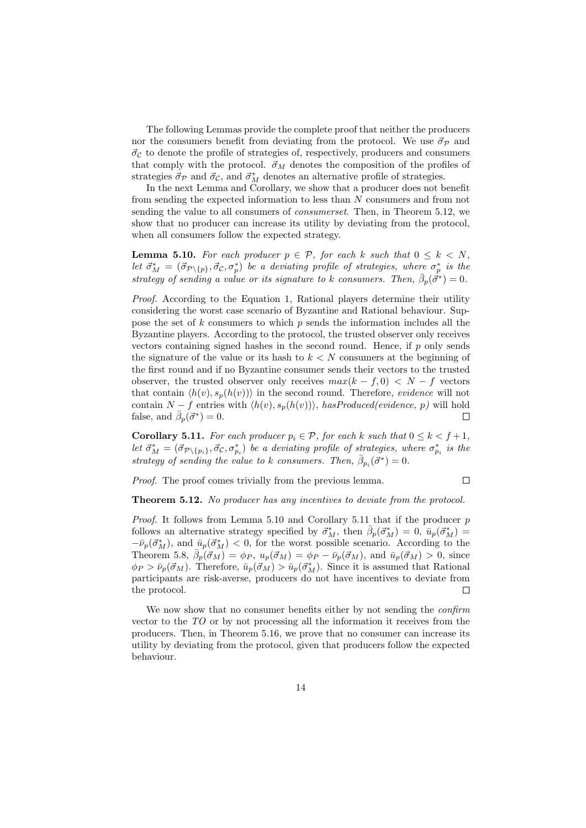The following Lemmas provide the complete proof that neither the producers nor the consumers benefit from deviating from the protocol. We use  $\vec{\sigma}_{\mathcal{P}}$  and  $\vec{\sigma}_{\mathcal{C}}$  to denote the profile of strategies of, respectively, producers and consumers that comply with the protocol.  $\vec{\sigma}_M$  denotes the composition of the profiles of strategies  $\vec{\sigma}_{\mathcal{P}}$  and  $\vec{\sigma}_{\mathcal{C}}$ , and  $\vec{\sigma}_{M}^{*}$  denotes an alternative profile of strategies.

In the next Lemma and Corollary, we show that a producer does not benefit from sending the expected information to less than N consumers and from not sending the value to all consumers of *consumerset*. Then, in Theorem 5.12, we show that no producer can increase its utility by deviating from the protocol, when all consumers follow the expected strategy.

**Lemma 5.10.** For each producer  $p \in \mathcal{P}$ , for each k such that  $0 \leq k \leq N$ , let  $\vec{\sigma}_M^* = (\vec{\sigma}_{\mathcal{P}\setminus\{p\}}, \vec{\sigma}_{\mathcal{C}}, \sigma_p^*)$  be a deviating profile of strategies, where  $\sigma_p^*$  is the strategy of sending a value or its signature to k consumers. Then,  $\bar{\beta}_p(\vec{\sigma}^*)=0$ .

Proof. According to the Equation 1, Rational players determine their utility considering the worst case scenario of Byzantine and Rational behaviour. Suppose the set of k consumers to which  $p$  sends the information includes all the Byzantine players. According to the protocol, the trusted observer only receives vectors containing signed hashes in the second round. Hence, if  $p$  only sends the signature of the value or its hash to  $k < N$  consumers at the beginning of the first round and if no Byzantine consumer sends their vectors to the trusted observer, the trusted observer only receives  $max(k - f, 0) < N - f$  vectors that contain  $\langle h(v), s_n(h(v)) \rangle$  in the second round. Therefore, *evidence* will not contain  $N - f$  entries with  $\langle h(v), s_p(h(v)) \rangle$ , hasProduced(evidence, p) will hold false, and  $\bar{\beta}_p(\vec{\sigma}^*) = 0$ .  $\Box$ 

**Corollary 5.11.** For each producer  $p_i \in \mathcal{P}$ , for each k such that  $0 \leq k < f+1$ , let  $\vec{\sigma}_M^* = (\vec{\sigma}_{\mathcal{P}\setminus\{p_i\}}, \vec{\sigma}_{\mathcal{C}}, \sigma_{p_i}^*)$  be a deviating profile of strategies, where  $\sigma_{p_i}^*$  is the strategy of sending the value to k consumers. Then,  $\bar{\beta}_{p_i}(\vec{\sigma}^*)=0$ .

Proof. The proof comes trivially from the previous lemma.

$$
\Box
$$

Theorem 5.12. No producer has any incentives to deviate from the protocol.

*Proof.* It follows from Lemma 5.10 and Corollary 5.11 that if the producer  $p$ follows an alternative strategy specified by  $\vec{\sigma}_M^*$ , then  $\bar{\beta}_p(\vec{\sigma}_M^*)=0$ ,  $\bar{u}_p(\vec{\sigma}_M^*)=0$  $-\bar{\nu}_p(\vec{\sigma}_M^*)$ , and  $\bar{u}_p(\vec{\sigma}_M^*)$  < 0, for the worst possible scenario. According to the Theorem 5.8,  $\bar{\beta}_p(\vec{\sigma}_M) = \phi_P$ ,  $u_p(\vec{\sigma}_M) = \phi_P - \bar{\nu}_p(\vec{\sigma}_M)$ , and  $\bar{u}_p(\vec{\sigma}_M) > 0$ , since  $\phi_P > \bar{\nu}_p(\vec{\sigma}_M)$ . Therefore,  $\bar{u}_p(\vec{\sigma}_M) > \bar{u}_p(\vec{\sigma}_M^*)$ . Since it is assumed that Rational participants are risk-averse, producers do not have incentives to deviate from the protocol. П

We now show that no consumer benefits either by not sending the *confirm* vector to the TO or by not processing all the information it receives from the producers. Then, in Theorem 5.16, we prove that no consumer can increase its utility by deviating from the protocol, given that producers follow the expected behaviour.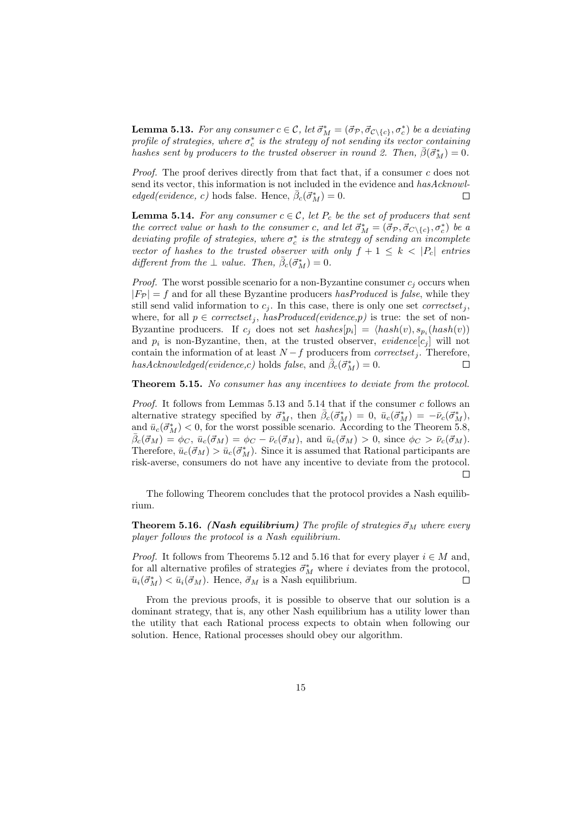**Lemma 5.13.** For any consumer  $c \in C$ , let  $\vec{\sigma}_M^* = (\vec{\sigma}_P, \vec{\sigma}_{C \setminus \{c\}}, \sigma_c^*)$  be a deviating profile of strategies, where  $\sigma_c^*$  is the strategy of not sending its vector containing hashes sent by producers to the trusted observer in round 2. Then,  $\bar{\beta}(\vec{\sigma}_{M}^*)=0$ .

Proof. The proof derives directly from that fact that, if a consumer c does not send its vector, this information is not included in the evidence and hasAcknowledged(evidence, c) hods false. Hence,  $\bar{\beta}_c(\vec{\sigma}_{M}^*)=0$ .  $\Box$ 

**Lemma 5.14.** For any consumer  $c \in \mathcal{C}$ , let  $P_c$  be the set of producers that sent the correct value or hash to the consumer c, and let  $\vec{\sigma}_{M}^* = (\vec{\sigma}_{\mathcal{P}}, \vec{\sigma}_{C \setminus \{c\}}, \sigma_c^*)$  be a deviating profile of strategies, where  $\sigma_c^*$  is the strategy of sending an incomplete vector of hashes to the trusted observer with only  $f + 1 \leq k < |P_c|$  entries different from the  $\perp$  value. Then,  $\bar{\beta}_c(\vec{\sigma}_M^*)=0$ .

*Proof.* The worst possible scenario for a non-Byzantine consumer  $c_j$  occurs when  $|F_{\mathcal{P}}| = f$  and for all these Byzantine producers has Produced is false, while they still send valid information to  $c_i$ . In this case, there is only one set *correctset*, where, for all  $p \in correctset_j$ , hasProduced(evidence, p) is true: the set of non-Byzantine producers. If  $c_j$  does not set  $hashes[p_i] = \langle hash(v), s_{p_i}(hash(v)) \rangle$ and  $p_i$  is non-Byzantine, then, at the trusted observer, evidence  $[c_j]$  will not contain the information of at least  $N-f$  producers from *correctset<sub>j</sub>*. Therefore, hasAcknowledged(evidence,c) holds false, and  $\bar{\beta}_c(\vec{\sigma}_M^*)=0$ . П

Theorem 5.15. No consumer has any incentives to deviate from the protocol.

*Proof.* It follows from Lemmas 5.13 and 5.14 that if the consumer  $c$  follows an alternative strategy specified by  $\vec{\sigma}_M^*$ , then  $\bar{\beta}_c(\vec{\sigma}_M^*) = 0$ ,  $\bar{u}_c(\vec{\sigma}_M^*) = -\bar{\nu}_c(\vec{\sigma}_M^*)$ , and  $\bar{u}_c(\vec{\sigma}_M^*)$  < 0, for the worst possible scenario. According to the Theorem 5.8,  $\bar{\beta}_{c}(\vec{\sigma}_{M}) = \phi_{C}, \bar{u}_{c}(\vec{\sigma}_{M}) = \phi_{C} - \bar{\nu}_{c}(\vec{\sigma}_{M}), \text{ and } \bar{u}_{c}(\vec{\sigma}_{M}) > 0, \text{ since } \phi_{C} > \bar{\nu}_{c}(\vec{\sigma}_{M}).$ Therefore,  $\bar{u}_c(\vec{\sigma}_M) > \bar{u}_c(\vec{\sigma}_M^*)$ . Since it is assumed that Rational participants are risk-averse, consumers do not have any incentive to deviate from the protocol.

The following Theorem concludes that the protocol provides a Nash equilibrium.

**Theorem 5.16.** (Nash equilibrium) The profile of strategies  $\vec{\sigma}_M$  where every player follows the protocol is a Nash equilibrium.

*Proof.* It follows from Theorems 5.12 and 5.16 that for every player  $i \in M$  and, for all alternative profiles of strategies  $\vec{\sigma}_M^*$  where i deviates from the protocol,  $\bar{u}_i(\vec{\sigma}_M^*) < \bar{u}_i(\vec{\sigma}_M)$ . Hence,  $\vec{\sigma}_M$  is a Nash equilibrium.  $\Box$ 

From the previous proofs, it is possible to observe that our solution is a dominant strategy, that is, any other Nash equilibrium has a utility lower than the utility that each Rational process expects to obtain when following our solution. Hence, Rational processes should obey our algorithm.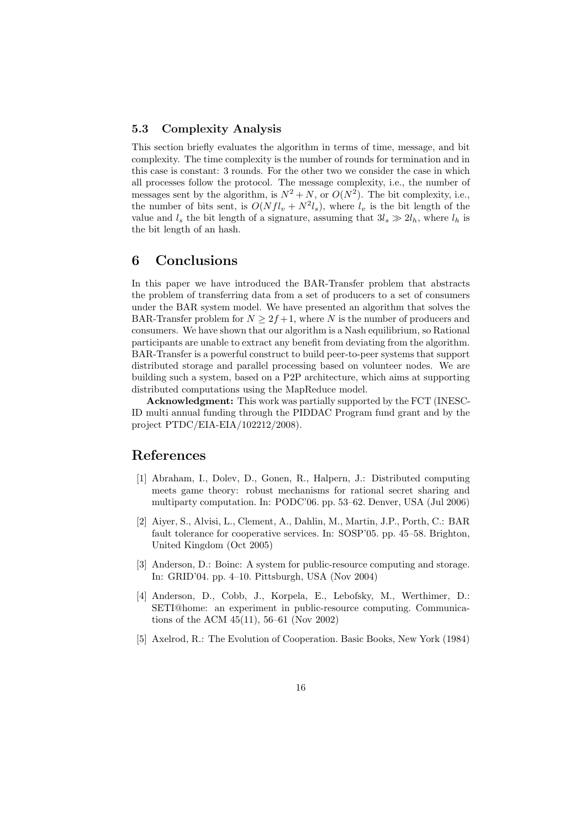### 5.3 Complexity Analysis

This section briefly evaluates the algorithm in terms of time, message, and bit complexity. The time complexity is the number of rounds for termination and in this case is constant: 3 rounds. For the other two we consider the case in which all processes follow the protocol. The message complexity, i.e., the number of messages sent by the algorithm, is  $N^2 + N$ , or  $O(N^2)$ . The bit complexity, i.e., the number of bits sent, is  $O(Nfl_v + N^2l_s)$ , where  $l_v$  is the bit length of the value and  $l_s$  the bit length of a signature, assuming that  $3l_s \gg 2l_h$ , where  $l_h$  is the bit length of an hash.

## 6 Conclusions

In this paper we have introduced the BAR-Transfer problem that abstracts the problem of transferring data from a set of producers to a set of consumers under the BAR system model. We have presented an algorithm that solves the BAR-Transfer problem for  $N \geq 2f+1$ , where N is the number of producers and consumers. We have shown that our algorithm is a Nash equilibrium, so Rational participants are unable to extract any benefit from deviating from the algorithm. BAR-Transfer is a powerful construct to build peer-to-peer systems that support distributed storage and parallel processing based on volunteer nodes. We are building such a system, based on a P2P architecture, which aims at supporting distributed computations using the MapReduce model.

Acknowledgment: This work was partially supported by the FCT (INESC-ID multi annual funding through the PIDDAC Program fund grant and by the project PTDC/EIA-EIA/102212/2008).

### References

- [1] Abraham, I., Dolev, D., Gonen, R., Halpern, J.: Distributed computing meets game theory: robust mechanisms for rational secret sharing and multiparty computation. In: PODC'06. pp. 53–62. Denver, USA (Jul 2006)
- [2] Aiyer, S., Alvisi, L., Clement, A., Dahlin, M., Martin, J.P., Porth, C.: BAR fault tolerance for cooperative services. In: SOSP'05. pp. 45–58. Brighton, United Kingdom (Oct 2005)
- [3] Anderson, D.: Boinc: A system for public-resource computing and storage. In: GRID'04. pp. 4–10. Pittsburgh, USA (Nov 2004)
- [4] Anderson, D., Cobb, J., Korpela, E., Lebofsky, M., Werthimer, D.: SETI@home: an experiment in public-resource computing. Communications of the ACM 45(11), 56–61 (Nov 2002)
- [5] Axelrod, R.: The Evolution of Cooperation. Basic Books, New York (1984)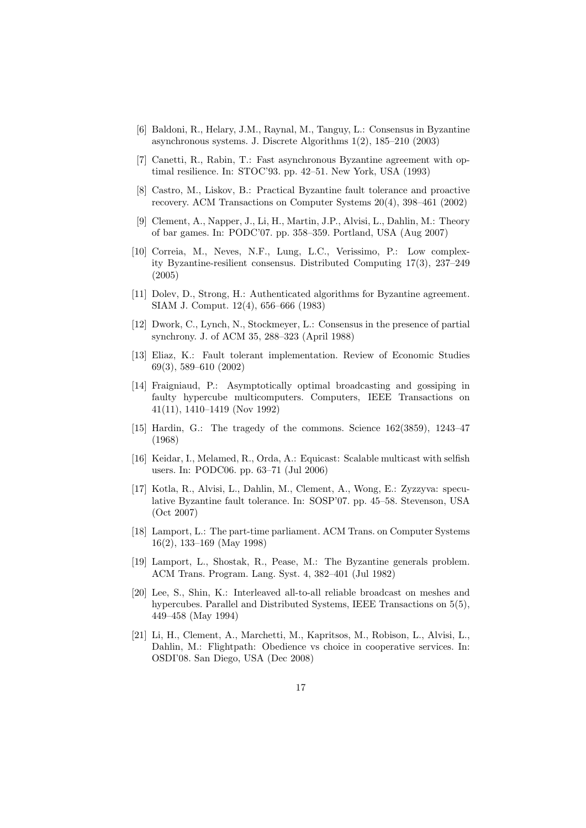- [6] Baldoni, R., Helary, J.M., Raynal, M., Tanguy, L.: Consensus in Byzantine asynchronous systems. J. Discrete Algorithms 1(2), 185–210 (2003)
- [7] Canetti, R., Rabin, T.: Fast asynchronous Byzantine agreement with optimal resilience. In: STOC'93. pp. 42–51. New York, USA (1993)
- [8] Castro, M., Liskov, B.: Practical Byzantine fault tolerance and proactive recovery. ACM Transactions on Computer Systems 20(4), 398–461 (2002)
- [9] Clement, A., Napper, J., Li, H., Martin, J.P., Alvisi, L., Dahlin, M.: Theory of bar games. In: PODC'07. pp. 358–359. Portland, USA (Aug 2007)
- [10] Correia, M., Neves, N.F., Lung, L.C., Verissimo, P.: Low complexity Byzantine-resilient consensus. Distributed Computing 17(3), 237–249 (2005)
- [11] Dolev, D., Strong, H.: Authenticated algorithms for Byzantine agreement. SIAM J. Comput. 12(4), 656–666 (1983)
- [12] Dwork, C., Lynch, N., Stockmeyer, L.: Consensus in the presence of partial synchrony. J. of ACM 35, 288–323 (April 1988)
- [13] Eliaz, K.: Fault tolerant implementation. Review of Economic Studies 69(3), 589–610 (2002)
- [14] Fraigniaud, P.: Asymptotically optimal broadcasting and gossiping in faulty hypercube multicomputers. Computers, IEEE Transactions on 41(11), 1410–1419 (Nov 1992)
- [15] Hardin, G.: The tragedy of the commons. Science 162(3859), 1243–47 (1968)
- [16] Keidar, I., Melamed, R., Orda, A.: Equicast: Scalable multicast with selfish users. In: PODC06. pp. 63–71 (Jul 2006)
- [17] Kotla, R., Alvisi, L., Dahlin, M., Clement, A., Wong, E.: Zyzzyva: speculative Byzantine fault tolerance. In: SOSP'07. pp. 45–58. Stevenson, USA (Oct 2007)
- [18] Lamport, L.: The part-time parliament. ACM Trans. on Computer Systems 16(2), 133–169 (May 1998)
- [19] Lamport, L., Shostak, R., Pease, M.: The Byzantine generals problem. ACM Trans. Program. Lang. Syst. 4, 382–401 (Jul 1982)
- [20] Lee, S., Shin, K.: Interleaved all-to-all reliable broadcast on meshes and hypercubes. Parallel and Distributed Systems, IEEE Transactions on  $5(5)$ . 449–458 (May 1994)
- [21] Li, H., Clement, A., Marchetti, M., Kapritsos, M., Robison, L., Alvisi, L., Dahlin, M.: Flightpath: Obedience vs choice in cooperative services. In: OSDI'08. San Diego, USA (Dec 2008)